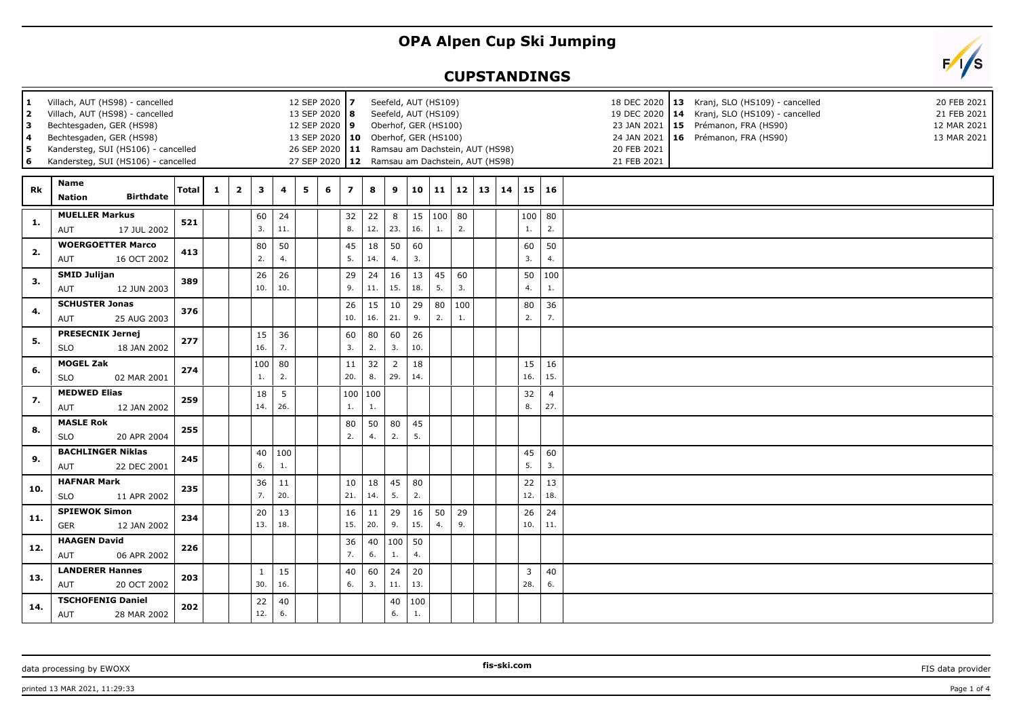## **OPA Alpen Cup Ski Jumping**

## **CUPSTANDINGS**



| 1<br>$\overline{2}$<br>3<br>4<br>5<br>6 | Villach, AUT (HS98) - cancelled<br>Villach, AUT (HS98) - cancelled<br>Bechtesgaden, GER (HS98)<br>Bechtesgaden, GER (HS98)<br>Kandersteg, SUI (HS106) - cancelled<br>Kandersteg, SUI (HS106) - cancelled |       |              | 12 SEP 2020 7<br>13 SEP 2020 8<br>12 SEP 2020 9 |                     |           |   | Seefeld, AUT (HS109)<br>Seefeld, AUT (HS109)<br>Oberhof, GER (HS100)<br>13 SEP 2020   10 Oberhof, GER (HS100)<br>26 SEP 2020   11 Ramsau am Dachstein, AUT (HS98)<br>27 SEP 2020   12 Ramsau am Dachstein, AUT (HS98) |                |           |           |                       |                |           | 18 DEC 2020   13 Kranj, SLO (HS109) - cancelled<br>20 FEB 2021<br>14 Kranj, SLO (HS109) - cancelled<br>21 FEB 2021<br>19 DEC 2020<br>15 Prémanon, FRA (HS90)<br>12 MAR 2021<br>23 JAN 2021<br>24 JAN 2021<br>16 Prémanon, FRA (HS90)<br>13 MAR 2021<br>20 FEB 2021<br>21 FEB 2021 |    |             |                       |  |
|-----------------------------------------|----------------------------------------------------------------------------------------------------------------------------------------------------------------------------------------------------------|-------|--------------|-------------------------------------------------|---------------------|-----------|---|-----------------------------------------------------------------------------------------------------------------------------------------------------------------------------------------------------------------------|----------------|-----------|-----------|-----------------------|----------------|-----------|-----------------------------------------------------------------------------------------------------------------------------------------------------------------------------------------------------------------------------------------------------------------------------------|----|-------------|-----------------------|--|
| Rk                                      | Name<br><b>Birthdate</b><br><b>Nation</b>                                                                                                                                                                | Total | $\mathbf{1}$ | $\mathbf{2}$                                    | $\mathbf{3}$        | 4         | 5 | 6                                                                                                                                                                                                                     | $\overline{z}$ | 8         | 9         | 10                    | $11 \mid 12$   |           | 13                                                                                                                                                                                                                                                                                | 14 |             | 15 16                 |  |
| -1.                                     | <b>MUELLER Markus</b><br>17 JUL 2002<br>AUT                                                                                                                                                              | 521   |              |                                                 | 60<br>3.            | 24<br>11. |   |                                                                                                                                                                                                                       | 32<br>8.       | 22<br>12. | 8<br>23.  | 15<br>16.             | 100   80<br>1. | 2.        |                                                                                                                                                                                                                                                                                   |    | 1.          | $100$ 80<br>2.        |  |
| 2.                                      | <b>WOERGOETTER Marco</b><br>AUT<br>16 OCT 2002                                                                                                                                                           | 413   |              |                                                 | 80<br>2.            | 50<br>4.  |   |                                                                                                                                                                                                                       | 45<br>5.       | 18<br>14. | 50<br>4.  | 60<br>3.              |                |           |                                                                                                                                                                                                                                                                                   |    | 60<br>3.    | 50<br>4.              |  |
| 3.                                      | <b>SMID Julijan</b><br>AUT<br>12 JUN 2003                                                                                                                                                                | 389   |              |                                                 | 26<br>10.           | 26<br>10. |   |                                                                                                                                                                                                                       | 29<br>9.       | 24<br>11. | 16<br>15. | 13<br>18.             | 45<br>5.       | 60<br>3.  |                                                                                                                                                                                                                                                                                   |    | 50<br>4.    | 100<br>1.             |  |
| 4.                                      | <b>SCHUSTER Jonas</b><br>AUT<br>25 AUG 2003                                                                                                                                                              | 376   |              |                                                 |                     |           |   |                                                                                                                                                                                                                       | 26<br>10.      | 15<br>16. | 10<br>21. | 29<br>9.              | 80<br>2.       | 100<br>1. |                                                                                                                                                                                                                                                                                   |    | 80<br>2.    | 36<br>7.              |  |
| 5.                                      | <b>PRESECNIK Jernej</b><br><b>SLO</b><br>18 JAN 2002                                                                                                                                                     | 277   |              |                                                 | 15<br>16.           | 36<br>7.  |   |                                                                                                                                                                                                                       | 60<br>3.       | 80<br>2.  | 60<br>3.  | 26<br>10.             |                |           |                                                                                                                                                                                                                                                                                   |    |             |                       |  |
| 6.                                      | <b>MOGEL Zak</b><br><b>SLO</b><br>02 MAR 2001                                                                                                                                                            | 274   |              |                                                 | 100<br>1.           | 80<br>2.  |   |                                                                                                                                                                                                                       | 11<br>20.      | 32<br>8.  | 2<br>29.  | 18<br>14.             |                |           |                                                                                                                                                                                                                                                                                   |    | 15<br>16.   | 16<br>15.             |  |
| 7.                                      | <b>MEDWED Elias</b><br>12 JAN 2002<br>AUT                                                                                                                                                                | 259   |              |                                                 | 18<br>14.           | 5<br>26.  |   |                                                                                                                                                                                                                       | 100 100<br>1.  | 1.        |           |                       |                |           |                                                                                                                                                                                                                                                                                   |    | 32<br>8.    | $\overline{4}$<br>27. |  |
| 8.                                      | <b>MASLE Rok</b><br><b>SLO</b><br>20 APR 2004                                                                                                                                                            | 255   |              |                                                 |                     |           |   |                                                                                                                                                                                                                       | 80<br>2.       | 50<br>4.  | 80<br>2.  | 45<br>5.              |                |           |                                                                                                                                                                                                                                                                                   |    |             |                       |  |
| 9.                                      | <b>BACHLINGER Niklas</b><br>AUT<br>22 DEC 2001                                                                                                                                                           | 245   |              |                                                 | 40<br>6.            | 100<br>1. |   |                                                                                                                                                                                                                       |                |           |           |                       |                |           |                                                                                                                                                                                                                                                                                   |    | 45<br>5.    | 60<br>3.              |  |
| 10.                                     | <b>HAFNAR Mark</b><br><b>SLO</b><br>11 APR 2002                                                                                                                                                          | 235   |              |                                                 | 36<br>7.            | 11<br>20. |   |                                                                                                                                                                                                                       | 10<br>21.      | 18<br>14. | 45<br>5.  | 80<br>2.              |                |           |                                                                                                                                                                                                                                                                                   |    | 22<br>12.   | 13<br>18.             |  |
| 11.                                     | <b>SPIEWOK Simon</b><br>12 JAN 2002<br><b>GER</b>                                                                                                                                                        | 234   |              |                                                 | 20<br>13.           | 13<br>18. |   |                                                                                                                                                                                                                       | 16<br>15.      | 11<br>20. | 29<br>9.  | 16<br>15.             | 50<br>4.       | 29<br>9.  |                                                                                                                                                                                                                                                                                   |    | 26<br>$10.$ | 24<br>11.             |  |
| 12.                                     | <b>HAAGEN David</b><br>06 APR 2002<br>AUT                                                                                                                                                                | 226   |              |                                                 |                     |           |   |                                                                                                                                                                                                                       | 36<br>7.       | 40<br>6.  | 100<br>1. | 50<br>4.              |                |           |                                                                                                                                                                                                                                                                                   |    |             |                       |  |
| 13.                                     | <b>LANDERER Hannes</b><br>AUT<br>20 OCT 2002                                                                                                                                                             | 203   |              |                                                 | $\mathbf{1}$<br>30. | 15<br>16. |   |                                                                                                                                                                                                                       | 40<br>6.       | 60<br>3.  | 24<br>11. | 20<br>13.             |                |           |                                                                                                                                                                                                                                                                                   |    | 3<br>28.    | 40<br>6.              |  |
| 14.                                     | <b>TSCHOFENIG Daniel</b><br>28 MAR 2002<br>AUT                                                                                                                                                           | 202   |              |                                                 | 22<br>12.           | 40<br>6.  |   |                                                                                                                                                                                                                       |                |           | 40<br>6.  | 100<br>$\mathbf{1}$ . |                |           |                                                                                                                                                                                                                                                                                   |    |             |                       |  |

data processing by EWOXX **FIS-SHOOT CONSUMING THE-SKI.COM FIS-SKI.COM FIS** data provider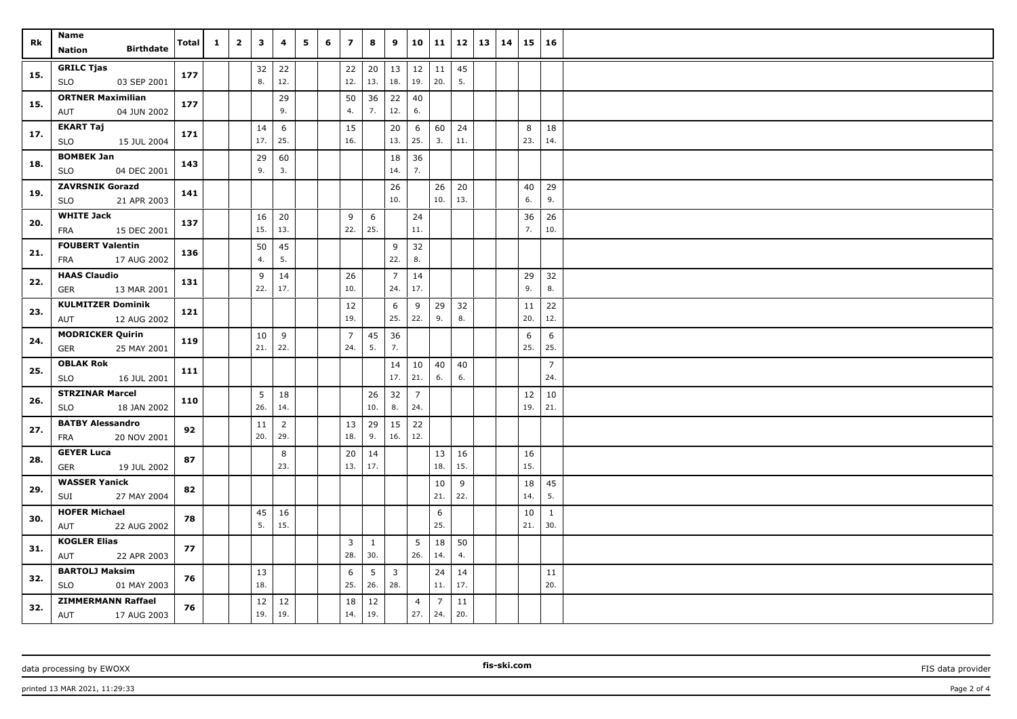| Rk  | Name<br><b>Birthdate</b><br>Nation                   | Total | $\mathbf{1}$ | $\overline{2}$ | 3         | 4                     | 5 | 6 | $\overline{\phantom{a}}$ | 8         | 9                              | 10                          | 11             | 12        | 13 | 14 | 15        | 16                    |  |
|-----|------------------------------------------------------|-------|--------------|----------------|-----------|-----------------------|---|---|--------------------------|-----------|--------------------------------|-----------------------------|----------------|-----------|----|----|-----------|-----------------------|--|
| 15. | <b>GRILC Tjas</b><br>03 SEP 2001<br>SLO              | 177   |              |                | 32<br>8.  | 22<br>12.             |   |   | 22<br>12.                | 20<br>13. | $\vert$ 13<br>18.              | 12<br>19.                   | 11<br>20.      | 45<br>5.  |    |    |           |                       |  |
| 15. | <b>ORTNER Maximilian</b><br>04 JUN 2002<br>AUT       | 177   |              |                |           | 29<br>9.              |   |   | 50<br>4.                 | 36<br>7.  | 22<br>12.                      | 40<br>6.                    |                |           |    |    |           |                       |  |
| 17. | EKART Taj<br><b>SLO</b><br>15 JUL 2004               | 171   |              |                | 14<br>17. | 6<br>25.              |   |   | 15<br>16.                |           | 20<br>13.                      | $6\phantom{.}6$<br>25.      | 60<br>3.       | 24<br>11. |    |    | 8<br>23.  | 18<br>14.             |  |
| 18. | <b>BOMBEK Jan</b><br><b>SLO</b><br>04 DEC 2001       | 143   |              |                | 29<br>9.  | 60<br>3.              |   |   |                          |           | 18<br>14.                      | 36<br>7.                    |                |           |    |    |           |                       |  |
| 19. | <b>ZAVRSNIK Gorazd</b><br><b>SLO</b><br>21 APR 2003  | 141   |              |                |           |                       |   |   |                          |           | 26<br>10.                      |                             | 26<br>10.      | 20<br>13. |    |    | 40<br>6.  | 29<br>9.              |  |
| 20. | <b>WHITE Jack</b><br>15 DEC 2001<br>FRA              | 137   |              |                | 16<br>15. | 20<br>13.             |   |   | 9<br>22.                 | 6<br>25.  |                                | 24<br>11.                   |                |           |    |    | 36<br>7.  | 26<br>10.             |  |
| 21. | <b>FOUBERT Valentin</b><br>17 AUG 2002<br>FRA        | 136   |              |                | 50<br>4.  | 45<br>5.              |   |   |                          |           | 9<br>22.                       | 32<br>8.                    |                |           |    |    |           |                       |  |
| 22. | <b>HAAS Claudio</b><br>GER<br>13 MAR 2001            | 131   |              |                | 9<br>22.  | 14<br>17.             |   |   | 26<br>10.                |           | $\overline{7}$<br>24.          | 14<br>17.                   |                |           |    |    | 29<br>9.  | 32<br>8.              |  |
| 23. | <b>KULMITZER Dominik</b><br>12 AUG 2002<br>AUT       | 121   |              |                |           |                       |   |   | 12<br>19.                |           | 6<br>25.                       | 9<br>22.                    | 29<br>9.       | 32<br>8.  |    |    | 11<br>20. | 22<br>12.             |  |
| 24. | <b>MODRICKER Quirin</b><br><b>GER</b><br>25 MAY 2001 | 119   |              |                | 10<br>21. | 9<br>22.              |   |   | $\overline{7}$<br>24.    | 45<br>5.  | 36<br>7.                       |                             |                |           |    |    | 6<br>25.  | 6<br>25.              |  |
| 25. | <b>OBLAK Rok</b><br><b>SLO</b><br>16 JUL 2001        | 111   |              |                |           |                       |   |   |                          |           | 14<br>17.                      | 10<br>21.                   | 40<br>6.       | 40<br>6.  |    |    |           | $\overline{7}$<br>24. |  |
| 26. | <b>STRZINAR Marcel</b><br>18 JAN 2002<br><b>SLO</b>  | 110   |              |                | 5<br>26.  | 18<br>14.             |   |   |                          | 26<br>10. | 32<br>8.                       | $\overline{7}$<br>24.       |                |           |    |    | 12<br>19. | 10<br>21.             |  |
| 27. | <b>BATBY Alessandro</b><br><b>FRA</b><br>20 NOV 2001 | 92    |              |                | 11<br>20. | $\overline{2}$<br>29. |   |   | 13<br>18.                | 29<br>9.  | 15<br>16.                      | 22<br>12.                   |                |           |    |    |           |                       |  |
| 28. | <b>GEYER Luca</b><br>GER<br>19 JUL 2002              | 87    |              |                |           | 8<br>23.              |   |   | 20<br>13.                | 14<br>17. |                                |                             | 13<br>18.      | 16<br>15. |    |    | 16<br>15. |                       |  |
| 29. | <b>WASSER Yanick</b><br>SUI<br>27 MAY 2004           | 82    |              |                |           |                       |   |   |                          |           |                                |                             | 10<br>21.      | 9<br>22.  |    |    | 18<br>14. | 45<br>5.              |  |
| 30. | <b>HOFER Michael</b><br>AUT<br>22 AUG 2002           | 78    |              |                | 45<br>5.  | 16<br>15.             |   |   |                          |           |                                |                             | 6<br>25.       |           |    |    | 10<br>21. | $\mathbf{1}$<br>30.   |  |
| 31. | <b>KOGLER Elias</b><br>AUT<br>22 APR 2003            | 77    |              |                |           |                       |   |   | $\overline{3}$<br>28.    | 1<br>30.  |                                | 5<br>26.                    | 18<br>14.      | 50<br>4.  |    |    |           |                       |  |
| 32. | <b>BARTOLJ Maksim</b><br><b>SLO</b><br>01 MAY 2003   | 76    |              |                | 13<br>18. |                       |   |   | 6<br>25.                 | 5<br>26.  | $\overline{\mathbf{3}}$<br>28. |                             | 24<br>11.      | 14<br>17. |    |    |           | 11<br>20.             |  |
| 32. | <b>ZIMMERMANN Raffael</b><br>AUT<br>17 AUG 2003      | 76    |              |                | 12<br>19. | 12<br> 19.            |   |   | 18<br>14.                | 12<br>19. |                                | $\overline{4}$<br>27.   24. | $\overline{7}$ | 11<br>20. |    |    |           |                       |  |

data processing by EWOXX **FIS data provider FIS data provider FIS data provider FIS data provider FIS data provider** 

**fis-ski.com**

printed 13 MAR 2021, 11:29:33 Page 2 of 4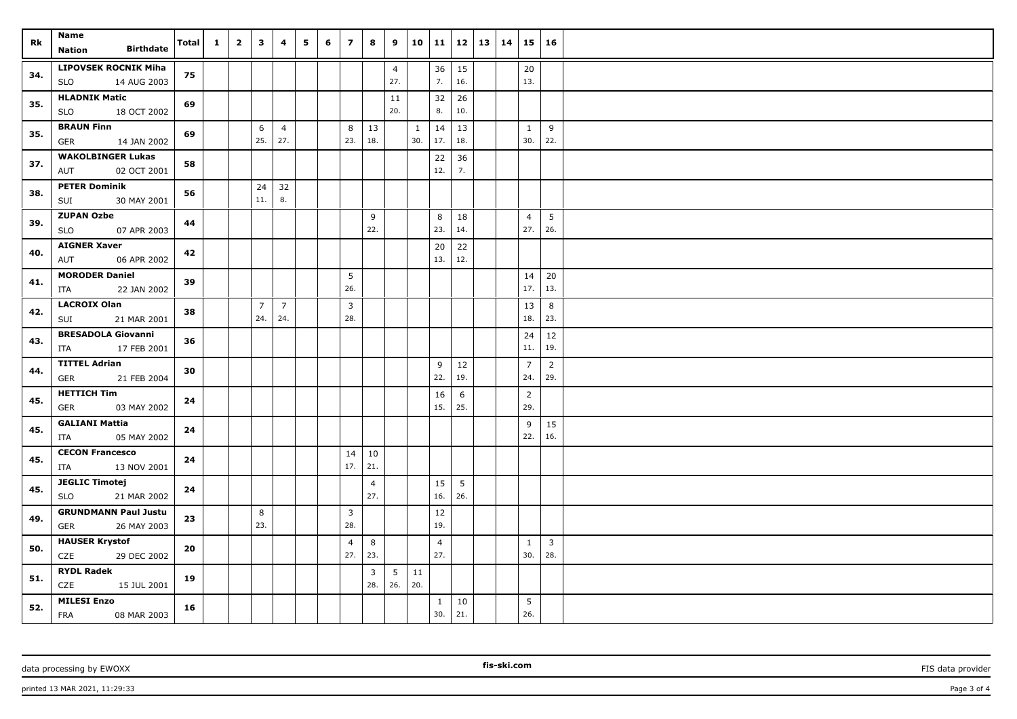| Rk  | Name<br><b>Birthdate</b><br>Nation                       | Total | $\mathbf{1}$ | $\overline{2}$ | $\overline{\mathbf{3}}$ | $\overline{4}$        | 5 | 6 | $\overline{z}$        | 8                     | 9                     | 10                  | 11                    | 12   13   14      |  | $15 \mid 16$          |                       |  |
|-----|----------------------------------------------------------|-------|--------------|----------------|-------------------------|-----------------------|---|---|-----------------------|-----------------------|-----------------------|---------------------|-----------------------|-------------------|--|-----------------------|-----------------------|--|
| 34. | <b>LIPOVSEK ROCNIK Miha</b><br>SLO<br>14 AUG 2003        | 75    |              |                |                         |                       |   |   |                       |                       | $\overline{4}$<br>27. |                     | 36<br>7.              | $\vert$ 15<br>16. |  | 20<br>13.             |                       |  |
| 35. | <b>HLADNIK Matic</b><br><b>SLO</b><br>18 OCT 2002        | 69    |              |                |                         |                       |   |   |                       |                       | 11<br>20.             |                     | 32<br>8.              | 26<br>10.         |  |                       |                       |  |
| 35. | <b>BRAUN Finn</b><br>GER<br>14 JAN 2002                  | 69    |              |                | 6<br>25.                | $\overline{4}$<br>27. |   |   | 8<br>23.              | 13<br>18.             |                       | $\mathbf{1}$<br>30. | 14<br>17.             | 13<br>18.         |  | $\mathbf{1}$<br>30.   | 9<br>22.              |  |
| 37. | <b>WAKOLBINGER Lukas</b><br>AUT<br>02 OCT 2001           | 58    |              |                |                         |                       |   |   |                       |                       |                       |                     | 22<br>12.             | 36<br>7.          |  |                       |                       |  |
| 38. | <b>PETER Dominik</b><br>SUI<br>30 MAY 2001               | 56    |              |                | 24<br>11.               | 32<br>8.              |   |   |                       |                       |                       |                     |                       |                   |  |                       |                       |  |
| 39. | <b>ZUPAN Ozbe</b><br>07 APR 2003<br><b>SLO</b>           | 44    |              |                |                         |                       |   |   |                       | 9<br>22.              |                       |                     | 8<br>23.              | 18<br>14.         |  | $\overline{4}$<br>27. | 5<br>26.              |  |
| 40. | <b>AIGNER Xaver</b><br>06 APR 2002<br>AUT                | 42    |              |                |                         |                       |   |   |                       |                       |                       |                     | 20<br>13.             | 22<br>12.         |  |                       |                       |  |
| 41. | <b>MORODER Daniel</b><br>ITA<br>22 JAN 2002              | 39    |              |                |                         |                       |   |   | 5<br>26.              |                       |                       |                     |                       |                   |  | 14<br>17.             | 20<br>13.             |  |
| 42. | <b>LACROIX Olan</b><br>21 MAR 2001<br>SUI                | 38    |              |                | $\overline{7}$<br>24.   | $\overline{7}$<br>24. |   |   | $\overline{3}$<br>28. |                       |                       |                     |                       |                   |  | 13<br>18.             | 8<br>23.              |  |
| 43. | <b>BRESADOLA Giovanni</b><br>17 FEB 2001<br>ITA          | 36    |              |                |                         |                       |   |   |                       |                       |                       |                     |                       |                   |  | 24<br>11.             | 12<br>19.             |  |
| 44. | <b>TITTEL Adrian</b><br><b>GER</b><br>21 FEB 2004        | 30    |              |                |                         |                       |   |   |                       |                       |                       |                     | 9<br>22.              | 12<br>19.         |  | $\overline{7}$<br>24. | $\overline{2}$<br>29. |  |
| 45. | <b>HETTICH Tim</b><br>03 MAY 2002<br>GER                 | 24    |              |                |                         |                       |   |   |                       |                       |                       |                     | 16<br>15.             | 6<br>25.          |  | $\overline{2}$<br>29. |                       |  |
| 45. | <b>GALIANI Mattia</b><br>05 MAY 2002<br>ITA              | 24    |              |                |                         |                       |   |   |                       |                       |                       |                     |                       |                   |  | 9<br>22.              | 15<br>16.             |  |
| 45. | <b>CECON Francesco</b><br>13 NOV 2001<br>ITA             | 24    |              |                |                         |                       |   |   | 14<br>17.             | 10<br>21.             |                       |                     |                       |                   |  |                       |                       |  |
| 45. | <b>JEGLIC Timotej</b><br><b>SLO</b><br>21 MAR 2002       | 24    |              |                |                         |                       |   |   |                       | $\overline{4}$<br>27. |                       |                     | 15<br>16.             | 5<br>26.          |  |                       |                       |  |
| 49. | <b>GRUNDMANN Paul Justu</b><br>26 MAY 2003<br><b>GER</b> | 23    |              |                | 8<br>23.                |                       |   |   | $\overline{3}$<br>28. |                       |                       |                     | 12<br>19.             |                   |  |                       |                       |  |
| 50. | <b>HAUSER Krystof</b><br>CZE<br>29 DEC 2002              | 20    |              |                |                         |                       |   |   | $\overline{4}$<br>27. | 8<br>23.              |                       |                     | $\overline{4}$<br>27. |                   |  | $\mathbf{1}$<br>30.   | $\overline{3}$<br>28. |  |
| 51. | <b>RYDL Radek</b><br>CZE<br>15 JUL 2001                  | 19    |              |                |                         |                       |   |   |                       | 3<br>28.              | 5<br>26.              | 11<br>20.           |                       |                   |  |                       |                       |  |
| 52. | <b>MILESI Enzo</b><br><b>FRA</b><br>08 MAR 2003          | 16    |              |                |                         |                       |   |   |                       |                       |                       |                     | $\mathbf{1}$<br>30.   | 10<br>21.         |  | 5<br>26.              |                       |  |

data processing by EWOXX **FIS data provider FIS data provider FIS data provider FIS data provider FIS data provider** 

**fis-ski.com**

printed 13 MAR 2021, 11:29:33 Page 3 of 4